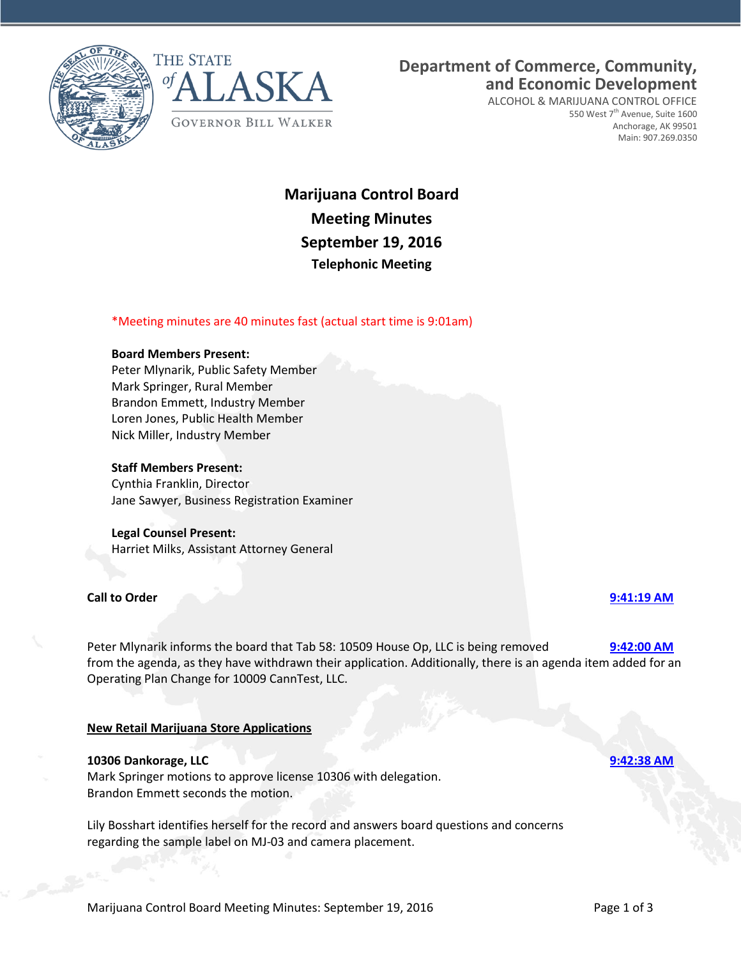



## **Department of Commerce, Community, and Economic Development**

ALCOHOL & MARIJUANA CONTROL OFFICE 550 West 7<sup>th</sup> Avenue, Suite 1600 Anchorage, AK 99501 Main: 907.269.0350

# **Marijuana Control Board Meeting Minutes September 19, 2016 Telephonic Meeting**

#### \*Meeting minutes are 40 minutes fast (actual start time is 9:01am)

#### **Board Members Present:**

Peter Mlynarik, Public Safety Member Mark Springer, Rural Member Brandon Emmett, Industry Member Loren Jones, Public Health Member Nick Miller, Industry Member

#### **Staff Members Present:**

Cynthia Franklin, Director Jane Sawyer, Business Registration Examiner

#### **Legal Counsel Present:**

Harriet Milks, Assistant Attorney General

#### **Call to Order [9:41:19 AM](ftr://?location="ABC Board"?date="19-Sep-2016"?position="09:41:19"?Data="e4a66794")**

Peter Mlynarik informs the board that Tab 58: 10509 House Op, LLC is being removed **[9:42:00 AM](ftr://?location="ABC Board"?date="19-Sep-2016"?position="09:42:00"?Data="b9c540b8")** from the agenda, as they have withdrawn their application. Additionally, there is an agenda item added for an Operating Plan Change for 10009 CannTest, LLC.

#### **New Retail Marijuana Store Applications**

#### **10306 Dankorage, LLC [9:42:38 AM](ftr://?location="ABC Board"?date="19-Sep-2016"?position="09:42:38"?Data="fae51af9")**

Mark Springer motions to approve license 10306 with delegation. Brandon Emmett seconds the motion.

Lily Bosshart identifies herself for the record and answers board questions and concerns regarding the sample label on MJ-03 and camera placement.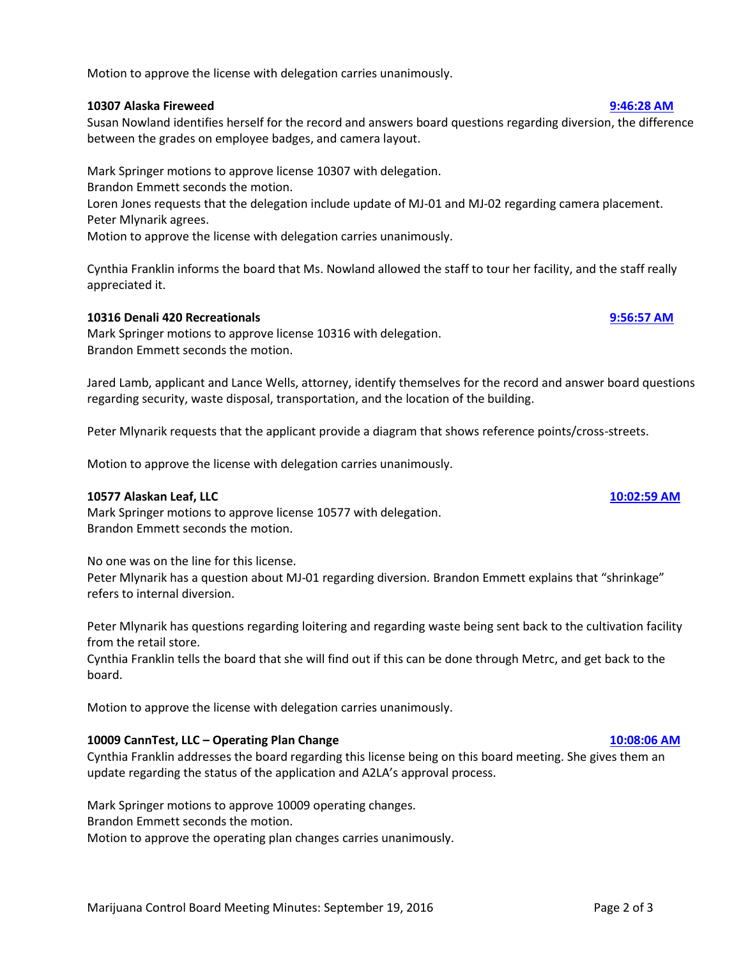Motion to approve the license with delegation carries unanimously.

#### **10307 Alaska Fireweed [9:46:28 AM](ftr://?location="ABC Board"?date="19-Sep-2016"?position="09:46:28"?Data="38526926")**

Susan Nowland identifies herself for the record and answers board questions regarding diversion, the difference between the grades on employee badges, and camera layout.

Mark Springer motions to approve license 10307 with delegation. Brandon Emmett seconds the motion. Loren Jones requests that the delegation include update of MJ-01 and MJ-02 regarding camera placement. Peter Mlynarik agrees.

Motion to approve the license with delegation carries unanimously.

Cynthia Franklin informs the board that Ms. Nowland allowed the staff to tour her facility, and the staff really appreciated it.

#### **10316 Denali 420 Recreationals [9:56:57 AM](ftr://?location="ABC Board"?date="19-Sep-2016"?position="09:56:57"?Data="e69105a7")**

Mark Springer motions to approve license 10316 with delegation. Brandon Emmett seconds the motion.

Jared Lamb, applicant and Lance Wells, attorney, identify themselves for the record and answer board questions regarding security, waste disposal, transportation, and the location of the building.

Peter Mlynarik requests that the applicant provide a diagram that shows reference points/cross-streets.

Motion to approve the license with delegation carries unanimously.

#### **10577 Alaskan Leaf, LLC [10:02:59 AM](ftr://?location="ABC Board"?date="19-Sep-2016"?position="10:02:59"?Data="a52f1dc1")**

Mark Springer motions to approve license 10577 with delegation. Brandon Emmett seconds the motion.

No one was on the line for this license.

Peter Mlynarik has a question about MJ-01 regarding diversion. Brandon Emmett explains that "shrinkage" refers to internal diversion.

Peter Mlynarik has questions regarding loitering and regarding waste being sent back to the cultivation facility from the retail store.

Cynthia Franklin tells the board that she will find out if this can be done through Metrc, and get back to the board.

Motion to approve the license with delegation carries unanimously.

### **10009 CannTest, LLC – Operating Plan Change [10:08:06 AM](ftr://?location="ABC Board"?date="19-Sep-2016"?position="10:08:06"?Data="baa30ced")**

Cynthia Franklin addresses the board regarding this license being on this board meeting. She gives them an update regarding the status of the application and A2LA's approval process.

Mark Springer motions to approve 10009 operating changes.

Brandon Emmett seconds the motion.

Motion to approve the operating plan changes carries unanimously.